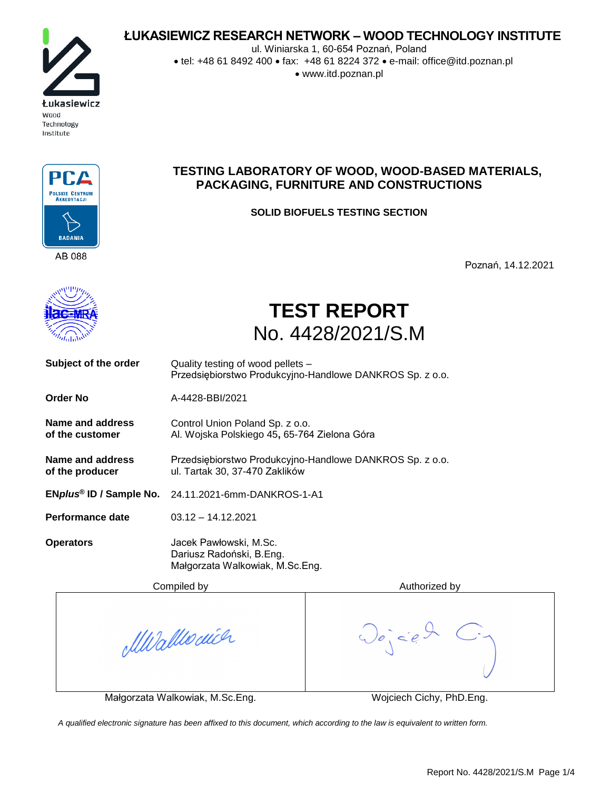

# **ŁUKASIEWICZ RESEARCH NETWORK – WOOD TECHNOLOGY INSTITUTE**

ul. Winiarska 1, 60-654 Poznań, Poland tel: +48 61 8492 400 fax: +48 61 8224 372 e-mail: [office@itd.](mailto:office@itd)poznan.pl www.itd.poznan.pl



AB 088

 **TESTING LABORATORY OF WOOD, WOOD-BASED MATERIALS, PACKAGING, FURNITURE AND CONSTRUCTIONS**

**SOLID BIOFUELS TESTING SECTION**

Poznań, 14.12.2021



# **TEST REPORT**  No. 4428/2021/S.M

| Subject of the order                | Quality testing of wood pellets -<br>Przedsiębiorstwo Produkcyjno-Handlowe DANKROS Sp. z o.o. |
|-------------------------------------|-----------------------------------------------------------------------------------------------|
| <b>Order No</b>                     | A-4428-BBI/2021                                                                               |
| Name and address<br>of the customer | Control Union Poland Sp. z o.o.<br>Al. Wojska Polskiego 45, 65-764 Zielona Góra               |
| Name and address<br>of the producer | Przedsiębiorstwo Produkcyjno-Handlowe DANKROS Sp. z o.o.<br>ul. Tartak 30, 37-470 Zaklików    |
|                                     | ENplus <sup>®</sup> ID / Sample No. 24.11.2021-6mm-DANKROS-1-A1                               |
| Performance date                    | $03.12 - 14.12.2021$                                                                          |
| <b>Operators</b>                    | Jacek Pawłowski, M.Sc.<br>Dariusz Radoński, B.Eng.<br>Małgorzata Walkowiak, M.Sc.Eng.         |

Compiled by **Authorized by Authorized by** 

MWallocuich

 $Doe$ 

Małgorzata Walkowiak, M.Sc.Eng. Wojciech Cichy, PhD.Eng.

 *A qualified electronic signature has been affixed to this document, which according to the law is equivalent to written form.*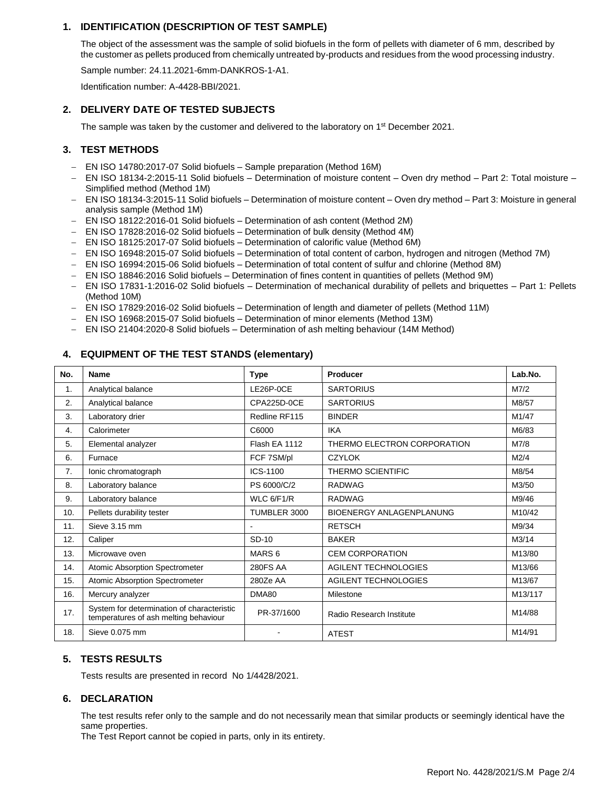#### **1. IDENTIFICATION (DESCRIPTION OF TEST SAMPLE)**

The object of the assessment was the sample of solid biofuels in the form of pellets with diameter of 6 mm, described by the customer as pellets produced from chemically untreated by-products and residues from the wood processing industry.

Sample number: 24.11.2021-6mm-DANKROS-1-A1.

Identification number: A-4428-BBI/2021.

### **2. DELIVERY DATE OF TESTED SUBJECTS**

The sample was taken by the customer and delivered to the laboratory on 1<sup>st</sup> December 2021.

## **3. TEST METHODS**

- EN ISO 14780:2017-07 Solid biofuels Sample preparation (Method 16M)
- EN ISO 18134-2:2015-11 Solid biofuels Determination of moisture content Oven dry method Part 2: Total moisture Simplified method (Method 1M)
- EN ISO 18134-3:2015-11 Solid biofuels Determination of moisture content Oven dry method Part 3: Moisture in general analysis sample (Method 1M)
- EN ISO 18122:2016-01 Solid biofuels Determination of ash content (Method 2M)
- EN ISO 17828:2016-02 Solid biofuels Determination of bulk density (Method 4M)
- EN ISO 18125:2017-07 Solid biofuels Determination of calorific value (Method 6M)
- EN ISO 16948:2015-07 Solid biofuels Determination of total content of carbon, hydrogen and nitrogen (Method 7M)
- EN ISO 16994:2015-06 Solid biofuels Determination of total content of sulfur and chlorine (Method 8M)
- EN ISO 18846:2016 Solid biofuels Determination of fines content in quantities of pellets (Method 9M)
- EN ISO 17831-1:2016-02 Solid biofuels Determination of mechanical durability of pellets and briquettes Part 1: Pellets (Method 10M)
- EN ISO 17829:2016-02 Solid biofuels Determination of length and diameter of pellets (Method 11M)
- EN ISO 16968:2015-07 Solid biofuels Determination of minor elements (Method 13M)
- EN ISO 21404:2020-8 Solid biofuels Determination of ash melting behaviour (14M Method)

#### **4. EQUIPMENT OF THE TEST STANDS (elementary)**

| No. | Name                                                                                | <b>Type</b>       | Producer                    | Lab.No. |
|-----|-------------------------------------------------------------------------------------|-------------------|-----------------------------|---------|
| 1.  | Analytical balance                                                                  | LE26P-0CE         | <b>SARTORIUS</b>            | M7/2    |
| 2.  | Analytical balance                                                                  | CPA225D-0CE       | <b>SARTORIUS</b>            | M8/57   |
| 3.  | Laboratory drier                                                                    | Redline RF115     | <b>BINDER</b>               | M1/47   |
| 4.  | Calorimeter                                                                         | C6000             | <b>IKA</b>                  | M6/83   |
| 5.  | Elemental analyzer                                                                  | Flash EA 1112     | THERMO ELECTRON CORPORATION | M7/8    |
| 6.  | Furnace                                                                             | FCF 7SM/pl        | <b>CZYLOK</b>               | M2/4    |
| 7.  | Ionic chromatograph                                                                 | ICS-1100          | <b>THERMO SCIENTIFIC</b>    | M8/54   |
| 8.  | Laboratory balance                                                                  | PS 6000/C/2       | <b>RADWAG</b>               | M3/50   |
| 9.  | Laboratory balance                                                                  | WLC 6/F1/R        | <b>RADWAG</b>               | M9/46   |
| 10. | Pellets durability tester                                                           | TUMBLER 3000      | BIOENERGY ANLAGENPLANUNG    | M10/42  |
| 11. | Sieve 3.15 mm                                                                       |                   | <b>RETSCH</b>               | M9/34   |
| 12. | Caliper                                                                             | SD-10             | <b>BAKER</b>                | M3/14   |
| 13. | Microwave oven                                                                      | MARS <sub>6</sub> | <b>CEM CORPORATION</b>      | M13/80  |
| 14. | <b>Atomic Absorption Spectrometer</b>                                               | <b>280FS AA</b>   | AGILENT TECHNOLOGIES        | M13/66  |
| 15. | Atomic Absorption Spectrometer                                                      | 280Ze AA          | AGILENT TECHNOLOGIES        | M13/67  |
| 16. | Mercury analyzer                                                                    | DMA80             | Milestone                   | M13/117 |
| 17. | System for determination of characteristic<br>temperatures of ash melting behaviour | PR-37/1600        | Radio Research Institute    | M14/88  |
| 18. | Sieve 0.075 mm                                                                      |                   | <b>ATEST</b>                | M14/91  |

#### **5. TESTS RESULTS**

Tests results are presented in record No 1/4428/2021.

#### **6. DECLARATION**

The test results refer only to the sample and do not necessarily mean that similar products or seemingly identical have the same properties.

The Test Report cannot be copied in parts, only in its entirety.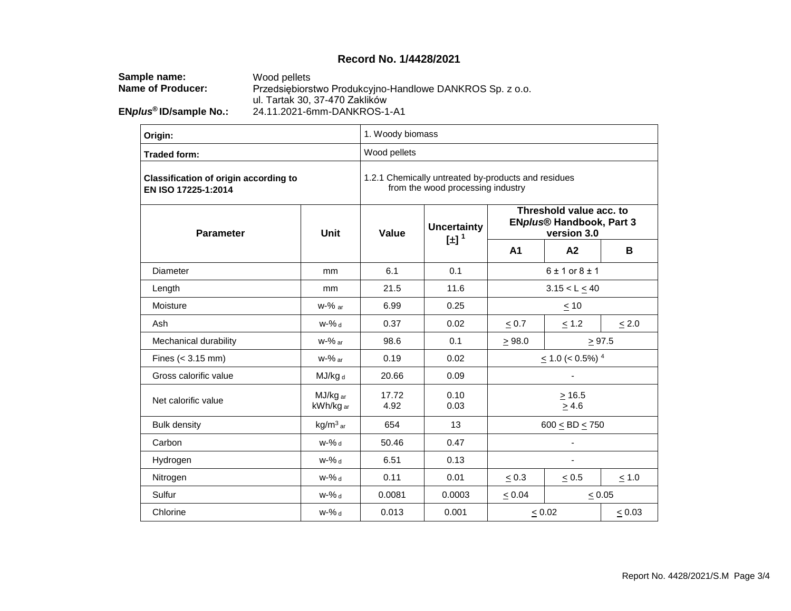# **Record No. 1/4428/2021**

**Sample name:** Wood pellets<br> **Name of Producer:** Przedsiębiors Przedsiębiorstwo Produkcyjno-Handlowe DANKROS Sp. z o.o. ul. Tartak 30, 37-470 Zaklików **EN***plus***® ID/sample No.:** 24.11.2021-6mm-DANKROS-1-A1

| Origin:                                                             | 1. Woody biomass      |                                                                                          |                                      |                                                                           |             |            |
|---------------------------------------------------------------------|-----------------------|------------------------------------------------------------------------------------------|--------------------------------------|---------------------------------------------------------------------------|-------------|------------|
| <b>Traded form:</b>                                                 | Wood pellets          |                                                                                          |                                      |                                                                           |             |            |
| <b>Classification of origin according to</b><br>EN ISO 17225-1:2014 |                       | 1.2.1 Chemically untreated by-products and residues<br>from the wood processing industry |                                      |                                                                           |             |            |
| <b>Parameter</b>                                                    | Unit                  | Value                                                                                    | <b>Uncertainty</b><br>$\mathbb{H}^1$ | Threshold value acc. to<br><b>ENplus® Handbook, Part 3</b><br>version 3.0 |             |            |
|                                                                     |                       |                                                                                          |                                      | A1                                                                        | A2          | B          |
| <b>Diameter</b>                                                     | mm                    | 6.1                                                                                      | 0.1                                  | $6 \pm 1$ or $8 \pm 1$                                                    |             |            |
| Length                                                              | mm                    | 21.5                                                                                     | 11.6                                 | $3.15 < L \leq 40$                                                        |             |            |
| Moisture                                                            | $W-%$ ar              | 6.99                                                                                     | 0.25                                 | $\leq 10$                                                                 |             |            |
| Ash                                                                 | $W-%$ d               | 0.37                                                                                     | 0.02                                 | $\leq 0.7$                                                                | $\leq 1.2$  | $\leq 2.0$ |
| Mechanical durability                                               | $W-%$ ar              | 98.6                                                                                     | 0.1                                  | $ \geq 97.5$<br>$ \geq 98.0$                                              |             |            |
| Fines $(3.15 \text{ mm})$                                           | $W-%$ ar              | 0.19                                                                                     | 0.02                                 | $\leq$ 1.0 (< 0.5%) <sup>4</sup>                                          |             |            |
| Gross calorific value                                               | MJ/kg <sub>d</sub>    | 20.66                                                                                    | 0.09                                 |                                                                           |             |            |
| Net calorific value                                                 | MJ/kg ar<br>kWh/kg ar | 17.72<br>4.92                                                                            | 0.10<br>0.03                         | $\geq$ 16.5<br>$\geq 4.6$                                                 |             |            |
| <b>Bulk density</b>                                                 | $kg/m3$ ar            | 654                                                                                      | 13                                   | 600 $\le$ BD $\le$ 750                                                    |             |            |
| Carbon                                                              | $W-96d$               | 50.46                                                                                    | 0.47                                 | ä,                                                                        |             |            |
| Hydrogen                                                            | $W-$ % d              | 6.51                                                                                     | 0.13                                 | ٠                                                                         |             |            |
| Nitrogen                                                            | $W-$ % d              | 0.11                                                                                     | 0.01                                 | $\leq 0.3$<br>$\leq 1.0$<br>$\leq 0.5$                                    |             |            |
| Sulfur                                                              | $W-%d$                | 0.0081                                                                                   | 0.0003                               | < 0.04                                                                    | $\leq 0.05$ |            |
| Chlorine                                                            | $W-%d$                | 0.013                                                                                    | 0.001                                | $\leq 0.02$<br>$\leq 0.03$                                                |             |            |